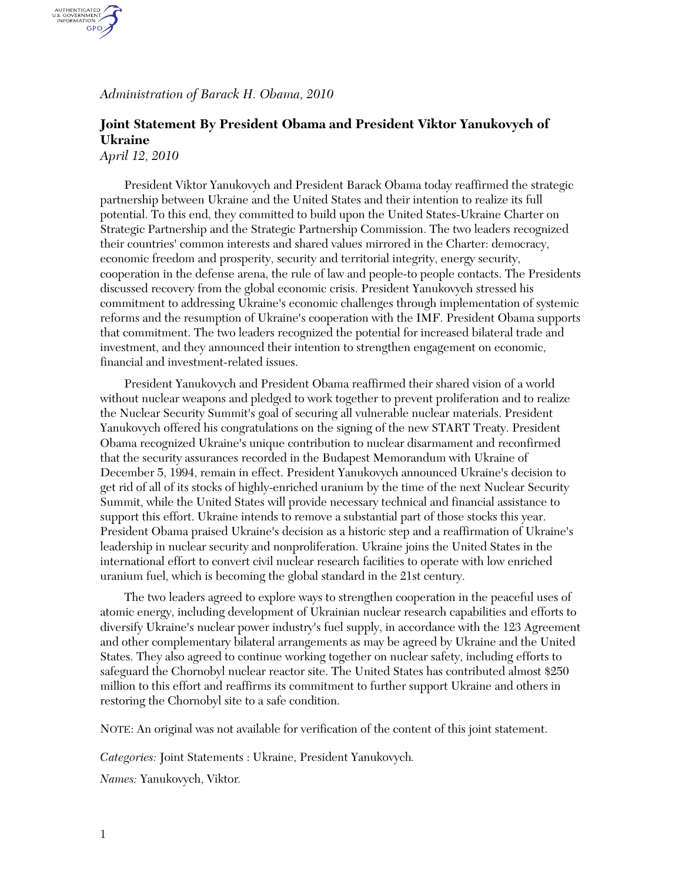*Administration of Barack H. Obama, 2010* 

## **Joint Statement By President Obama and President Viktor Yanukovych of Ukraine**

*April 12, 2010* 

AUTHENTICATED<br>U.S. GOVERNMENT<br>INFORMATION GPO

> President Viktor Yanukovych and President Barack Obama today reaffirmed the strategic partnership between Ukraine and the United States and their intention to realize its full potential. To this end, they committed to build upon the United States-Ukraine Charter on Strategic Partnership and the Strategic Partnership Commission. The two leaders recognized their countries' common interests and shared values mirrored in the Charter: democracy, economic freedom and prosperity, security and territorial integrity, energy security, cooperation in the defense arena, the rule of law and people-to people contacts. The Presidents discussed recovery from the global economic crisis. President Yanukovych stressed his commitment to addressing Ukraine's economic challenges through implementation of systemic reforms and the resumption of Ukraine's cooperation with the IMF. President Obama supports that commitment. The two leaders recognized the potential for increased bilateral trade and investment, and they announced their intention to strengthen engagement on economic, financial and investment-related issues.

President Yanukovych and President Obama reaffirmed their shared vision of a world without nuclear weapons and pledged to work together to prevent proliferation and to realize the Nuclear Security Summit's goal of securing all vulnerable nuclear materials. President Yanukovych offered his congratulations on the signing of the new START Treaty. President Obama recognized Ukraine's unique contribution to nuclear disarmament and reconfirmed that the security assurances recorded in the Budapest Memorandum with Ukraine of December 5, 1994, remain in effect. President Yanukovych announced Ukraine's decision to get rid of all of its stocks of highly-enriched uranium by the time of the next Nuclear Security Summit, while the United States will provide necessary technical and financial assistance to support this effort. Ukraine intends to remove a substantial part of those stocks this year. President Obama praised Ukraine's decision as a historic step and a reaffirmation of Ukraine's leadership in nuclear security and nonproliferation. Ukraine joins the United States in the international effort to convert civil nuclear research facilities to operate with low enriched uranium fuel, which is becoming the global standard in the 21st century.

The two leaders agreed to explore ways to strengthen cooperation in the peaceful uses of atomic energy, including development of Ukrainian nuclear research capabilities and efforts to diversify Ukraine's nuclear power industry's fuel supply, in accordance with the 123 Agreement and other complementary bilateral arrangements as may be agreed by Ukraine and the United States. They also agreed to continue working together on nuclear safety, including efforts to safeguard the Chornobyl nuclear reactor site. The United States has contributed almost \$250 million to this effort and reaffirms its commitment to further support Ukraine and others in restoring the Chornobyl site to a safe condition.

NOTE: An original was not available for verification of the content of this joint statement.

*Categories:* Joint Statements : Ukraine, President Yanukovych*.*

*Names:* Yanukovych, Viktor*.*